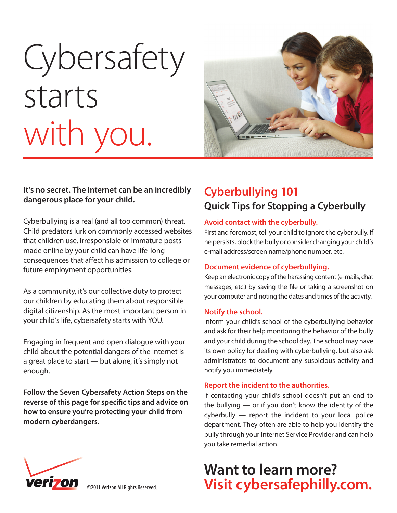# **Cybersafety** starts with you.



#### **It's no secret. The Internet can be an incredibly dangerous place for your child.**

Cyberbullying is a real (and all too common) threat. Child predators lurk on commonly accessed websites that children use. Irresponsible or immature posts made online by your child can have life-long consequences that affect his admission to college or future employment opportunities.

As a community, it's our collective duty to protect our children by educating them about responsible digital citizenship. As the most important person in your child's life, cybersafety starts with YOU.

Engaging in frequent and open dialogue with your child about the potential dangers of the Internet is a great place to start — but alone, it's simply not enough.

**Follow the Seven Cybersafety Action Steps on the**  reverse of this page for specific tips and advice on **how to ensure you're protecting your child from modern cyberdangers.**

### **Cyberbullying 101 Quick Tips for Stopping a Cyberbully**

#### **Avoid contact with the cyberbully.**

First and foremost, tell your child to ignore the cyberbully. If he persists, block the bully or consider changing your child's e-mail address/screen name/phone number, etc.

#### **Document evidence of cyberbullying.**

Keep an electronic copy of the harassing content (e-mails, chat messages, etc.) by saving the file or taking a screenshot on your computer and noting the dates and times of the activity.

#### **Notify the school.**

Inform your child's school of the cyberbullying behavior and ask for their help monitoring the behavior of the bully and your child during the school day. The school may have its own policy for dealing with cyberbullying, but also ask administrators to document any suspicious activity and notify you immediately.

#### **Report the incident to the authorities.**

If contacting your child's school doesn't put an end to the bullying — or if you don't know the identity of the cyberbully — report the incident to your local police department. They often are able to help you identify the bully through your Internet Service Provider and can help you take remedial action.

## **Want to learn more? Visit cybersafephilly.com.**



©2011 Verizon All Rights Reserved.